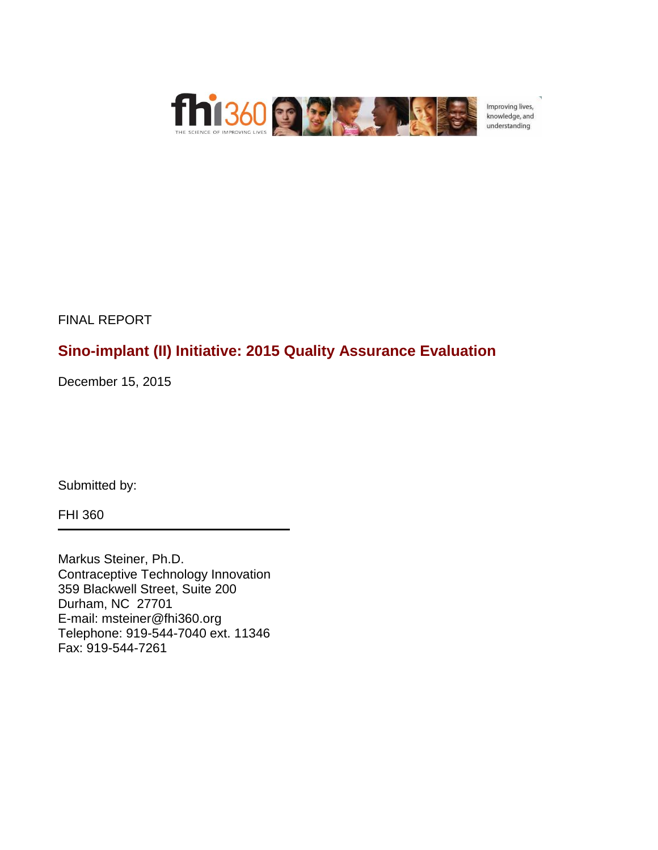

Improving lives, knowledge, and understanding

FINAL REPORT

# **Sino-implant (II) Initiative: 2015 Quality Assurance Evaluation**

December 15, 2015

Submitted by:

FHI 360

Markus Steiner, Ph.D. Contraceptive Technology Innovation 359 Blackwell Street, Suite 200 Durham, NC 27701 E-mail: msteiner@fhi360.org Telephone: 919-544-7040 ext. 11346 Fax: 919-544-7261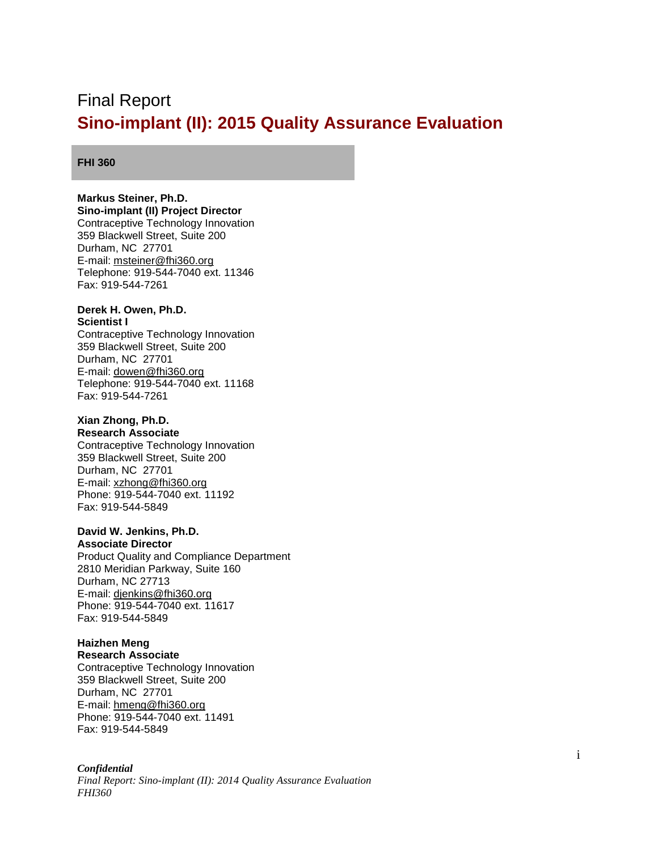# <span id="page-1-0"></span>Final Report **Sino-implant (II): 2015 Quality Assurance Evaluation**

#### **FHI 360**

### **Markus Steiner, Ph.D.**

**Sino-implant (II) Project Director** Contraceptive Technology Innovation 359 Blackwell Street, Suite 200 Durham, NC 27701 E-mail: [msteiner@fhi360.org](mailto:msteiner@fhi360.org) Telephone: 919-544-7040 ext. 11346 Fax: 919-544-7261

#### **Derek H. Owen, Ph.D. Scientist I**

Contraceptive Technology Innovation 359 Blackwell Street, Suite 200 Durham, NC 27701 E-mail: [dowen@fhi360.org](mailto:dowen@fhi360.org) Telephone: 919-544-7040 ext. 11168 Fax: 919-544-7261

### **Xian Zhong, Ph.D.**

**Research Associate** Contraceptive Technology Innovation 359 Blackwell Street, Suite 200 Durham, NC 27701 E-mail: [xzhong@fhi360.org](mailto:xzhong@fhi360.org) Phone: 919-544-7040 ext. 11192 Fax: 919-544-5849

#### **David W. Jenkins, Ph.D.**

**Associate Director** Product Quality and Compliance Department 2810 Meridian Parkway, Suite 160 Durham, NC 27713 E-mail: [djenkins@fhi360.org](mailto:djenkins@fhi360.org) Phone: 919-544-7040 ext. 11617 Fax: 919-544-5849

## **Haizhen Meng**

**Research Associate** Contraceptive Technology Innovation 359 Blackwell Street, Suite 200 Durham, NC 27701 E-mail: [hmeng@fhi360.org](mailto:hmeng@fhi360.org) Phone: 919-544-7040 ext. 11491 Fax: 919-544-5849

#### *Confidential*

*Final Report: Sino-implant (II): 2014 Quality Assurance Evaluation FHI360*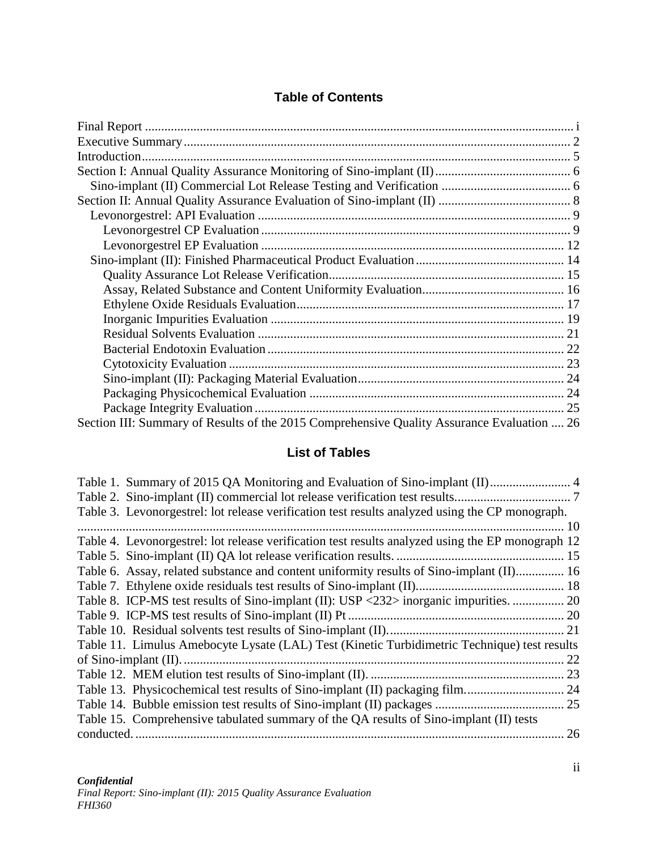## **Table of Contents**

| Section III: Summary of Results of the 2015 Comprehensive Quality Assurance Evaluation  26 |  |
|--------------------------------------------------------------------------------------------|--|

## **List of Tables**

| Table 3. Levonorgestrel: lot release verification test results analyzed using the CP monograph.   |    |
|---------------------------------------------------------------------------------------------------|----|
|                                                                                                   |    |
| Table 4. Levonorgestrel: lot release verification test results analyzed using the EP monograph 12 |    |
|                                                                                                   |    |
| Table 6. Assay, related substance and content uniformity results of Sino-implant (II) 16          |    |
|                                                                                                   |    |
| Table 8. ICP-MS test results of Sino-implant (II): USP <232> inorganic impurities.  20            |    |
|                                                                                                   |    |
|                                                                                                   |    |
| Table 11. Limulus Amebocyte Lysate (LAL) Test (Kinetic Turbidimetric Technique) test results      |    |
|                                                                                                   | 22 |
|                                                                                                   |    |
|                                                                                                   |    |
|                                                                                                   |    |
| Table 15. Comprehensive tabulated summary of the QA results of Sino-implant (II) tests            |    |
|                                                                                                   | 26 |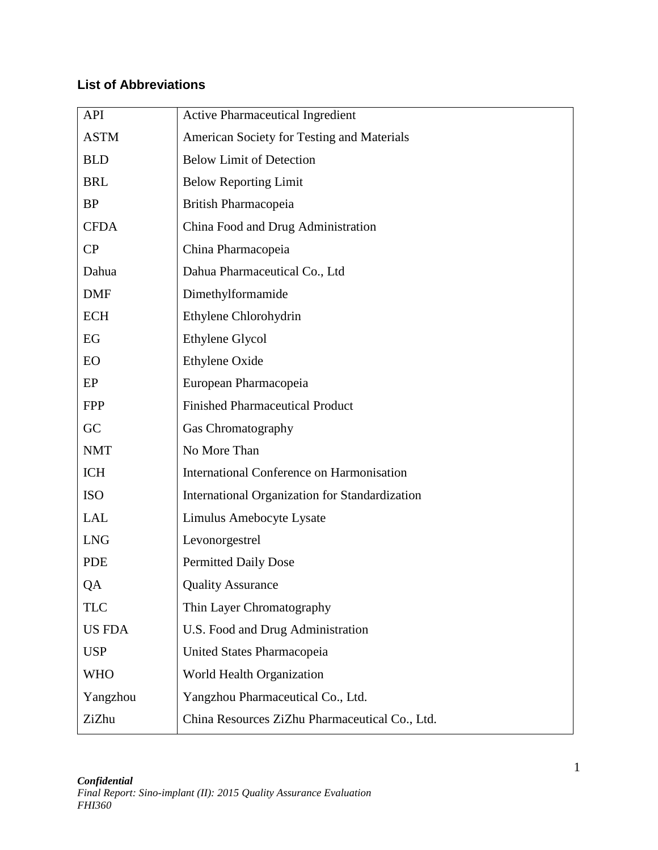## **List of Abbreviations**

| <b>API</b>    | <b>Active Pharmaceutical Ingredient</b>        |  |  |  |
|---------------|------------------------------------------------|--|--|--|
| <b>ASTM</b>   | American Society for Testing and Materials     |  |  |  |
| <b>BLD</b>    | <b>Below Limit of Detection</b>                |  |  |  |
| <b>BRL</b>    | <b>Below Reporting Limit</b>                   |  |  |  |
| <b>BP</b>     | British Pharmacopeia                           |  |  |  |
| <b>CFDA</b>   | China Food and Drug Administration             |  |  |  |
| CP            | China Pharmacopeia                             |  |  |  |
| Dahua         | Dahua Pharmaceutical Co., Ltd                  |  |  |  |
| <b>DMF</b>    | Dimethylformamide                              |  |  |  |
| <b>ECH</b>    | Ethylene Chlorohydrin                          |  |  |  |
| EG            | Ethylene Glycol                                |  |  |  |
| EO            | Ethylene Oxide                                 |  |  |  |
| EP            | European Pharmacopeia                          |  |  |  |
| <b>FPP</b>    | <b>Finished Pharmaceutical Product</b>         |  |  |  |
| GC            | Gas Chromatography                             |  |  |  |
| <b>NMT</b>    | No More Than                                   |  |  |  |
| <b>ICH</b>    | International Conference on Harmonisation      |  |  |  |
| <b>ISO</b>    | International Organization for Standardization |  |  |  |
| <b>LAL</b>    | Limulus Amebocyte Lysate                       |  |  |  |
| <b>LNG</b>    | Levonorgestrel                                 |  |  |  |
| <b>PDE</b>    | <b>Permitted Daily Dose</b>                    |  |  |  |
| QA            | <b>Quality Assurance</b>                       |  |  |  |
| <b>TLC</b>    | Thin Layer Chromatography                      |  |  |  |
| <b>US FDA</b> | U.S. Food and Drug Administration              |  |  |  |
| <b>USP</b>    | United States Pharmacopeia                     |  |  |  |
| <b>WHO</b>    | World Health Organization                      |  |  |  |
| Yangzhou      | Yangzhou Pharmaceutical Co., Ltd.              |  |  |  |
| ZiZhu         | China Resources ZiZhu Pharmaceutical Co., Ltd. |  |  |  |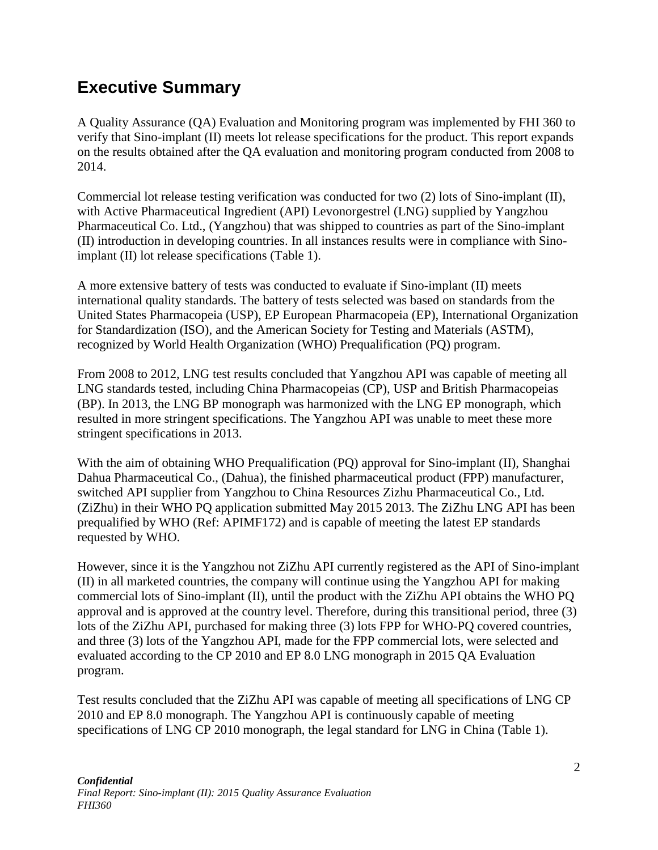# <span id="page-4-0"></span>**Executive Summary**

A Quality Assurance (QA) Evaluation and Monitoring program was implemented by FHI 360 to verify that Sino-implant (II) meets lot release specifications for the product. This report expands on the results obtained after the QA evaluation and monitoring program conducted from 2008 to 2014.

Commercial lot release testing verification was conducted for two (2) lots of Sino-implant (II), with Active Pharmaceutical Ingredient (API) Levonorgestrel (LNG) supplied by Yangzhou Pharmaceutical Co. Ltd., (Yangzhou) that was shipped to countries as part of the Sino-implant (II) introduction in developing countries. In all instances results were in compliance with Sinoimplant (II) lot release specifications [\(Table 1\)](#page-6-1).

A more extensive battery of tests was conducted to evaluate if Sino-implant (II) meets international quality standards. The battery of tests selected was based on standards from the United States Pharmacopeia (USP), EP European Pharmacopeia (EP), International Organization for Standardization (ISO), and the American Society for Testing and Materials (ASTM), recognized by World Health Organization (WHO) Prequalification (PQ) program.

From 2008 to 2012, LNG test results concluded that Yangzhou API was capable of meeting all LNG standards tested, including China Pharmacopeias (CP), USP and British Pharmacopeias (BP). In 2013, the LNG BP monograph was harmonized with the LNG EP monograph, which resulted in more stringent specifications. The Yangzhou API was unable to meet these more stringent specifications in 2013.

With the aim of obtaining WHO Prequalification (PQ) approval for Sino-implant (II), Shanghai Dahua Pharmaceutical Co., (Dahua), the finished pharmaceutical product (FPP) manufacturer, switched API supplier from Yangzhou to China Resources Zizhu Pharmaceutical Co., Ltd. (ZiZhu) in their WHO PQ application submitted May 2015 2013. The ZiZhu LNG API has been prequalified by WHO (Ref: APIMF172) and is capable of meeting the latest EP standards requested by WHO.

However, since it is the Yangzhou not ZiZhu API currently registered as the API of Sino-implant (II) in all marketed countries, the company will continue using the Yangzhou API for making commercial lots of Sino-implant (II), until the product with the ZiZhu API obtains the WHO PQ approval and is approved at the country level. Therefore, during this transitional period, three (3) lots of the ZiZhu API, purchased for making three (3) lots FPP for WHO-PQ covered countries, and three (3) lots of the Yangzhou API, made for the FPP commercial lots, were selected and evaluated according to the CP 2010 and EP 8.0 LNG monograph in 2015 QA Evaluation program.

Test results concluded that the ZiZhu API was capable of meeting all specifications of LNG CP 2010 and EP 8.0 monograph. The Yangzhou API is continuously capable of meeting specifications of LNG CP 2010 monograph, the legal standard for LNG in China (Table 1).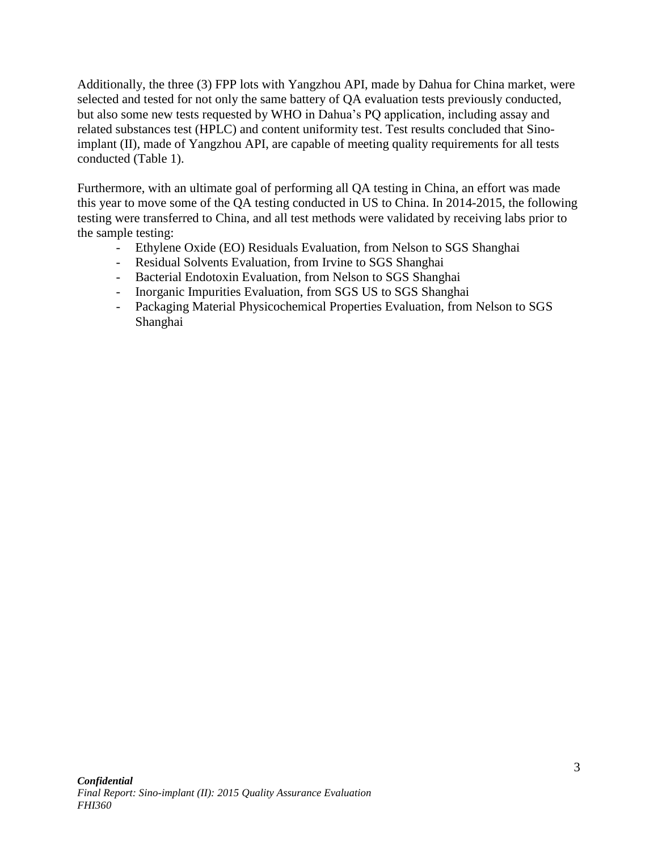Additionally, the three (3) FPP lots with Yangzhou API, made by Dahua for China market, were selected and tested for not only the same battery of QA evaluation tests previously conducted, but also some new tests requested by WHO in Dahua's PQ application, including assay and related substances test (HPLC) and content uniformity test. Test results concluded that Sinoimplant (II), made of Yangzhou API, are capable of meeting quality requirements for all tests conducted (Table 1).

Furthermore, with an ultimate goal of performing all QA testing in China, an effort was made this year to move some of the QA testing conducted in US to China. In 2014-2015, the following testing were transferred to China, and all test methods were validated by receiving labs prior to the sample testing:

- Ethylene Oxide (EO) Residuals Evaluation, from Nelson to SGS Shanghai
- Residual Solvents Evaluation, from Irvine to SGS Shanghai
- Bacterial Endotoxin Evaluation, from Nelson to SGS Shanghai
- Inorganic Impurities Evaluation, from SGS US to SGS Shanghai
- Packaging Material Physicochemical Properties Evaluation, from Nelson to SGS Shanghai